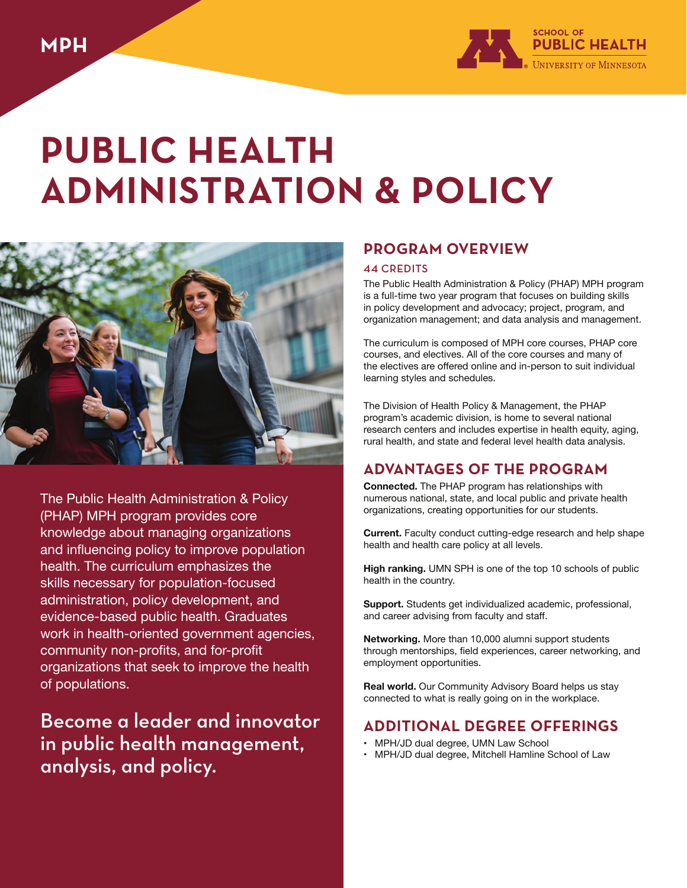

# **PUBLIC HEALTH ADMINISTRATION & POLICY**



The Public Health Administration & Policy (PHAP) MPH program provides core knowledge about managing organizations and influencing policy to improve population health. The curriculum emphasizes the skills necessary for population-focused administration, policy development, and evidence-based public health. Graduates work in health-oriented government agencies, community non-profits, and for-profit organizations that seek to improve the health of populations.

Become a leader and innovator in public health management, analysis, and policy.

#### **PROGRAM OVERVIEW**

#### 44 CREDITS

The Public Health Administration & Policy (PHAP) MPH program is a full-time two year program that focuses on building skills in policy development and advocacy; project, program, and organization management; and data analysis and management.

The curriculum is composed of MPH core courses, PHAP core courses, and electives. All of the core courses and many of the electives are offered online and in-person to suit individual learning styles and schedules.

The Division of Health Policy & Management, the PHAP program's academic division, is home to several national research centers and includes expertise in health equity, aging, rural health, and state and federal level health data analysis.

#### **ADVANTAGES OF THE PROGRAM**

**Connected.** The PHAP program has relationships with numerous national, state, and local public and private health organizations, creating opportunities for our students.

**Current.** Faculty conduct cutting-edge research and help shape health and health care policy at all levels.

**High ranking.** UMN SPH is one of the top 10 schools of public health in the country.

**Support.** Students get individualized academic, professional, and career advising from faculty and staff.

**Networking.** More than 10,000 alumni support students through mentorships, field experiences, career networking, and employment opportunities.

**Real world.** Our Community Advisory Board helps us stay connected to what is really going on in the workplace.

#### **ADDITIONAL DEGREE OFFERINGS**

- MPH/JD dual degree, UMN Law School
- MPH/JD dual degree, Mitchell Hamline School of Law